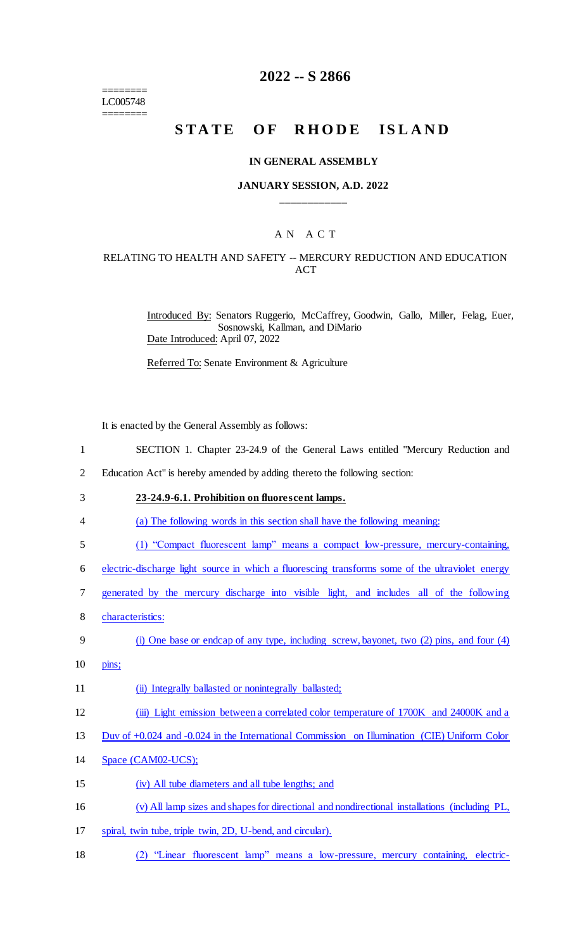======== LC005748 ========

## **2022 -- S 2866**

# STATE OF RHODE ISLAND

#### **IN GENERAL ASSEMBLY**

#### **JANUARY SESSION, A.D. 2022 \_\_\_\_\_\_\_\_\_\_\_\_**

## A N A C T

### RELATING TO HEALTH AND SAFETY -- MERCURY REDUCTION AND EDUCATION **ACT**

Introduced By: Senators Ruggerio, McCaffrey, Goodwin, Gallo, Miller, Felag, Euer, Sosnowski, Kallman, and DiMario Date Introduced: April 07, 2022

Referred To: Senate Environment & Agriculture

It is enacted by the General Assembly as follows:

- 1 SECTION 1. Chapter 23-24.9 of the General Laws entitled "Mercury Reduction and
- 2 Education Act" is hereby amended by adding thereto the following section:
- 3 **23-24.9-6.1. Prohibition on fluorescent lamps.**
- 4 (a) The following words in this section shall have the following meaning:
- 5 (1) "Compact fluorescent lamp" means a compact low-pressure, mercury-containing,
- 6 electric-discharge light source in which a fluorescing transforms some of the ultraviolet energy
- 7 generated by the mercury discharge into visible light, and includes all of the following
- 8 characteristics:
- 9 (i) One base or endcap of any type, including screw, bayonet, two (2) pins, and four (4)
- 10 pins;

11 (ii) Integrally ballasted or nonintegrally ballasted;

12 (iii) Light emission between a correlated color temperature of 1700K and 24000K and a

13 Duv of +0.024 and -0.024 in the International Commission on Illumination (CIE) Uniform Color

- 14 Space (CAM02-UCS);
- 15 (iv) All tube diameters and all tube lengths; and
- 16 (v) All lamp sizes and shapes for directional and nondirectional installations (including PL,
- 17 spiral, twin tube, triple twin, 2D, U-bend, and circular).
- 18 (2) "Linear fluorescent lamp" means a low-pressure, mercury containing, electric-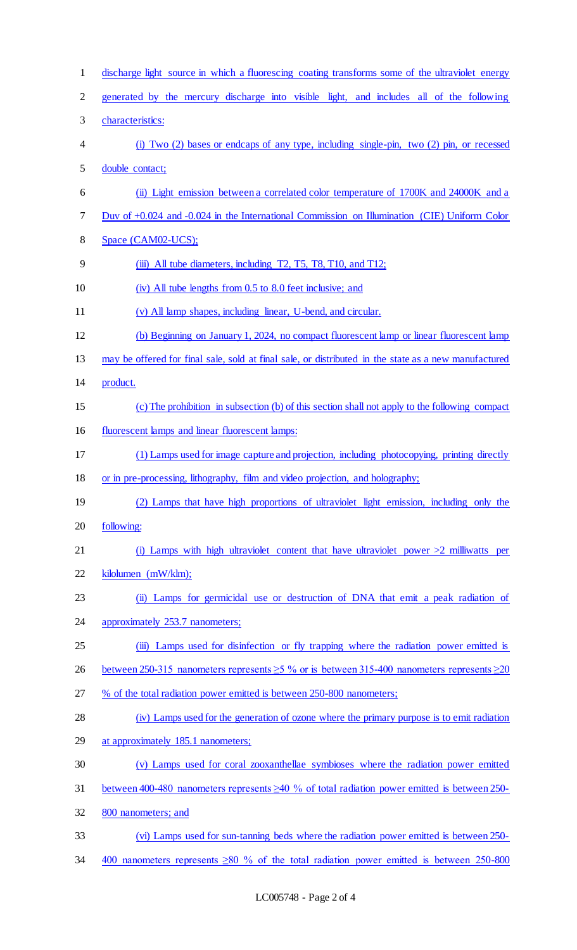| $\mathbf{1}$   | discharge light source in which a fluorescing coating transforms some of the ultraviolet energy        |
|----------------|--------------------------------------------------------------------------------------------------------|
| $\mathbf{2}$   | generated by the mercury discharge into visible light, and includes all of the following               |
| 3              | characteristics:                                                                                       |
| $\overline{4}$ | (i) Two $(2)$ bases or endcaps of any type, including single-pin, two $(2)$ pin, or recessed           |
| 5              | double contact;                                                                                        |
| 6              | (ii) Light emission between a correlated color temperature of 1700K and 24000K and a                   |
| $\tau$         | Duv of +0.024 and -0.024 in the International Commission on Illumination (CIE) Uniform Color           |
| 8              | Space (CAM02-UCS);                                                                                     |
| 9              | (iii) All tube diameters, including T2, T5, T8, T10, and T12;                                          |
| 10             | (iv) All tube lengths from 0.5 to 8.0 feet inclusive; and                                              |
| 11             | (v) All lamp shapes, including linear, U-bend, and circular.                                           |
| 12             | (b) Beginning on January 1, 2024, no compact fluorescent lamp or linear fluorescent lamp               |
| 13             | may be offered for final sale, sold at final sale, or distributed in the state as a new manufactured   |
| 14             | product.                                                                                               |
| 15             | (c) The prohibition in subsection (b) of this section shall not apply to the following compact         |
| 16             | fluorescent lamps and linear fluorescent lamps:                                                        |
| 17             | (1) Lamps used for image capture and projection, including photocopying, printing directly             |
| 18             | or in pre-processing, lithography, film and video projection, and holography;                          |
| 19             | (2) Lamps that have high proportions of ultraviolet light emission, including only the                 |
|                | following:                                                                                             |
| 20             |                                                                                                        |
| 21             | (i) Lamps with high ultraviolet content that have ultraviolet power $>2$ milliwatts per                |
| 22             | kilolumen (mW/klm);                                                                                    |
| 23             | (ii) Lamps for germicidal use or destruction of DNA that emit a peak radiation of                      |
| 24             | approximately 253.7 nanometers;                                                                        |
| 25             | (iii) Lamps used for disinfection or fly trapping where the radiation power emitted is                 |
| 26             | between 250-315 nanometers represents $\geq$ 5 % or is between 315-400 nanometers represents $\geq$ 20 |
| 27             | % of the total radiation power emitted is between 250-800 nanometers;                                  |
| 28             | (iv) Lamps used for the generation of ozone where the primary purpose is to emit radiation             |
| 29             | at approximately 185.1 nanometers;                                                                     |
| 30             | (v) Lamps used for coral zooxanthellae symbioses where the radiation power emitted                     |
| 31             | between 400-480 nanometers represents $\geq 40$ % of total radiation power emitted is between 250-     |
| 32             | 800 nanometers; and                                                                                    |
| 33             | (vi) Lamps used for sun-tanning beds where the radiation power emitted is between 250-                 |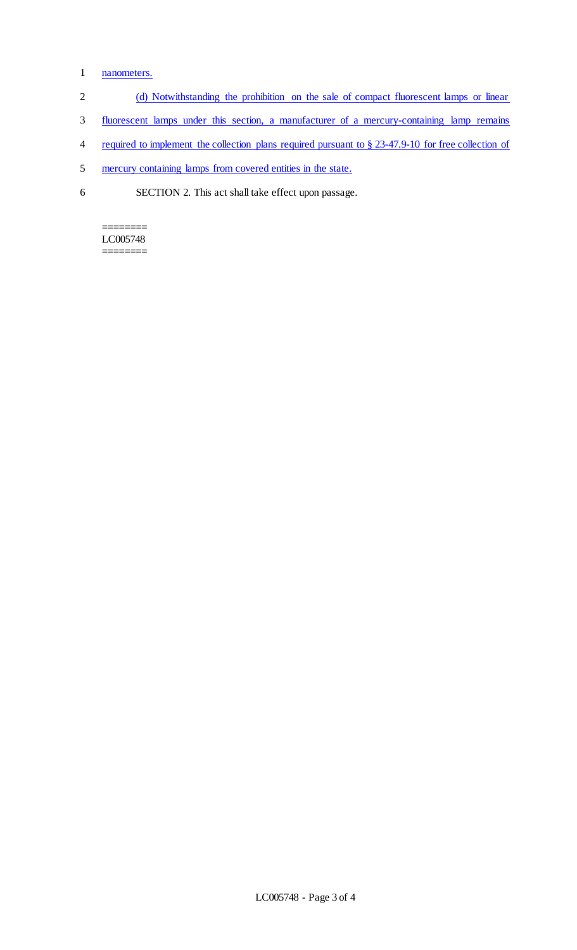## 1 nanometers.

- 2 (d) Notwithstanding the prohibition on the sale of compact fluorescent lamps or linear
- 3 fluorescent lamps under this section, a manufacturer of a mercury-containing lamp remains
- 4 required to implement the collection plans required pursuant to § 23-47.9-10 for free collection of
- 5 mercury containing lamps from covered entities in the state.
- 6 SECTION 2. This act shall take effect upon passage.

======== LC005748 ========